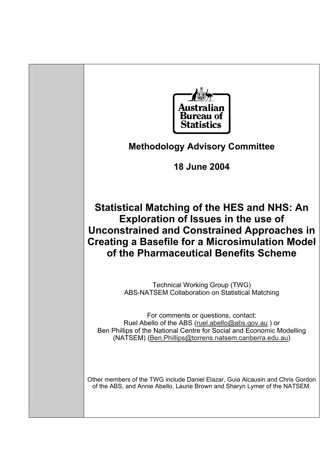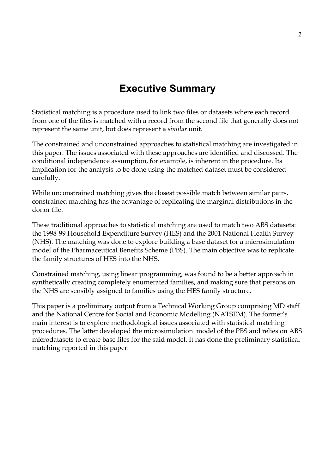# **Executive Summary**

Statistical matching is a procedure used to link two files or datasets where each record from one of the files is matched with a record from the second file that generally does not represent the same unit, but does represent a *similar* unit.

The constrained and unconstrained approaches to statistical matching are investigated in this paper. The issues associated with these approaches are identified and discussed. The conditional independence assumption, for example, is inherent in the procedure. Its implication for the analysis to be done using the matched dataset must be considered carefully.

While unconstrained matching gives the closest possible match between similar pairs, constrained matching has the advantage of replicating the marginal distributions in the donor file.

These traditional approaches to statistical matching are used to match two ABS datasets: the 1998-99 Household Expenditure Survey (HES) and the 2001 National Health Survey (NHS). The matching was done to explore building a base dataset for a microsimulation model of the Pharmaceutical Benefits Scheme (PBS). The main objective was to replicate the family structures of HES into the NHS.

Constrained matching, using linear programming, was found to be a better approach in synthetically creating completely enumerated families, and making sure that persons on the NHS are sensibly assigned to families using the HES family structure.

This paper is a preliminary output from a Technical Working Group comprising MD staff and the National Centre for Social and Economic Modelling (NATSEM). The former's main interest is to explore methodological issues associated with statistical matching procedures. The latter developed the microsimulation model of the PBS and relies on ABS microdatasets to create base files for the said model. It has done the preliminary statistical matching reported in this paper.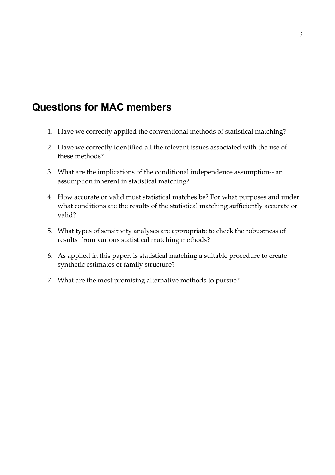# **Questions for MAC members**

- 1. Have we correctly applied the conventional methods of statistical matching?
- 2. Have we correctly identified all the relevant issues associated with the use of these methods?
- 3. What are the implications of the conditional independence assumption-- an assumption inherent in statistical matching?
- 4. How accurate or valid must statistical matches be? For what purposes and under what conditions are the results of the statistical matching sufficiently accurate or valid?
- 5. What types of sensitivity analyses are appropriate to check the robustness of results from various statistical matching methods?
- 6. As applied in this paper, is statistical matching a suitable procedure to create synthetic estimates of family structure?
- 7. What are the most promising alternative methods to pursue?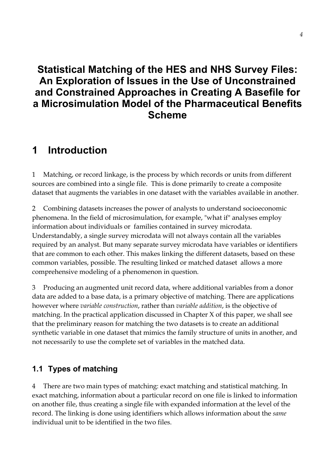# **Statistical Matching of the HES and NHS Survey Files: An Exploration of Issues in the Use of Unconstrained and Constrained Approaches in Creating A Basefile for a Microsimulation Model of the Pharmaceutical Benefits Scheme**

# **1 Introduction**

1 Matching, or record linkage, is the process by which records or units from different sources are combined into a single file. This is done primarily to create a composite dataset that augments the variables in one dataset with the variables available in another.

2 Combining datasets increases the power of analysts to understand socioeconomic phenomena. In the field of microsimulation, for example, "what if" analyses employ information about individuals or families contained in survey microdata. Understandably, a single survey microdata will not always contain all the variables required by an analyst. But many separate survey microdata have variables or identifiers that are common to each other. This makes linking the different datasets, based on these common variables, possible. The resulting linked or matched dataset allows a more comprehensive modeling of a phenomenon in question.

3 Producing an augmented unit record data, where additional variables from a donor data are added to a base data, is a primary objective of matching. There are applications however where *variable construction*, rather than *variable addition*, is the objective of matching. In the practical application discussed in Chapter X of this paper, we shall see that the preliminary reason for matching the two datasets is to create an additional synthetic variable in one dataset that mimics the family structure of units in another, and not necessarily to use the complete set of variables in the matched data.

# **1.1 Types of matching**

4 There are two main types of matching: exact matching and statistical matching. In exact matching, information about a particular record on one file is linked to information on another file, thus creating a single file with expanded information at the level of the record. The linking is done using identifiers which allows information about the *same*  individual unit to be identified in the two files.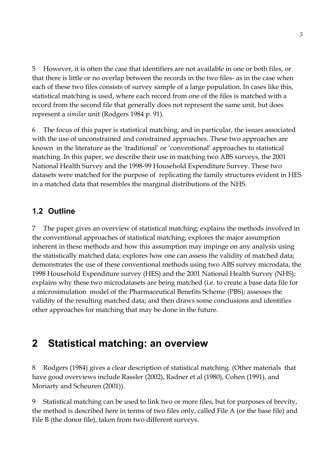5 However, it is often the case that identifiers are not available in one or both files, or that there is little or no overlap between the records in the two files- as in the case when each of these two files consists of survey sample of a large population. In cases like this, statistical matching is used, where each record from one of the files is matched with a record from the second file that generally does not represent the same unit, but does represent a *similar* unit (Rodgers 1984 p. 91).

6 The focus of this paper is statistical matching, and in particular, the issues associated with the use of unconstrained and constrained approaches. These two approaches are known in the literature as the 'traditional' or 'conventional' approaches to statistical matching. In this paper, we describe their use in matching two ABS surveys, the 2001 National Health Survey and the 1998-99 Household Expenditure Survey. These two datasets were matched for the purpose of replicating the family structures evident in HES in a matched data that resembles the marginal distributions of the NHS.

## **1.2 Outline**

7 The paper gives an overview of statistical matching; explains the methods involved in the conventional approaches of statistical matching; explores the major assumption inherent in these methods and how this assumption may impinge on any analysis using the statistically matched data; explores how one can assess the validity of matched data; demonstrates the use of these conventional methods using two ABS survey microdata, the 1998 Household Expenditure survey (HES) and the 2001 National Health Survey (NHS); explains why these two microdatasets are being matched (i.e. to create a base data file for a microsimulation model of the Pharmaceutical Benefits Scheme (PBS); assesses the validity of the resulting matched data; and then draws some conclusions and identifies other approaches for matching that may be done in the future.

# **2 Statistical matching: an overview**

8 Rodgers (1984) gives a clear description of statistical matching. (Other materials that have good overviews include Rassler (2002), Radner et al (1980), Cohen (1991), and Moriarty and Scheuren (2001)).

9 Statistical matching can be used to link two or more files, but for purposes of brevity, the method is described here in terms of two files only, called File A (or the base file) and File B (the donor file), taken from two different surveys.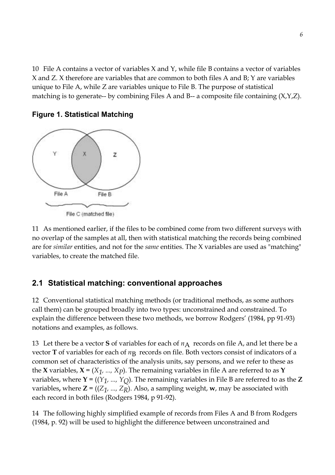10 File A contains a vector of variables X and Y, while file B contains a vector of variables X and Z. X therefore are variables that are common to both files A and B; Y are variables unique to File A, while Z are variables unique to File B. The purpose of statistical matching is to generate-- by combining Files A and B-- a composite file containing  $(X, Y, Z)$ .



#### **Figure 1. Statistical Matching**

11 As mentioned earlier, if the files to be combined come from two different surveys with no overlap of the samples at all, then with statistical matching the records being combined are for *similar* entities, and not for the *same* entities. The X variables are used as "matching" variables, to create the matched file.

## **2.1 Statistical matching: conventional approaches**

12 Conventional statistical matching methods (or traditional methods, as some authors call them) can be grouped broadly into two types: unconstrained and constrained. To explain the difference between these two methods, we borrow Rodgers' (1984, pp 91-93) notations and examples, as follows.

13 Let there be a vector **S** of variables for each of  $n_A$  records on file A, and let there be a vector **T** of variables for each of  $n<sub>B</sub>$  records on file. Both vectors consist of indicators of a common set of characteristics of the analysis units, say persons, and we refer to these as the **X** variables, **X** =  $(X_1, ..., X_p)$ . The remaining variables in file A are referred to as **Y** variables, where **Y** =  $((Y_1, ..., Y_\text{})$ . The remaining variables in File B are referred to as the **Z** variables**,** where **Z** = ((*Z1, ..., ZR*). Also, a sampling weight, **w**, may be associated with each record in both files (Rodgers 1984, p 91-92).

14 The following highly simplified example of records from Files A and B from Rodgers (1984, p. 92) will be used to highlight the difference between unconstrained and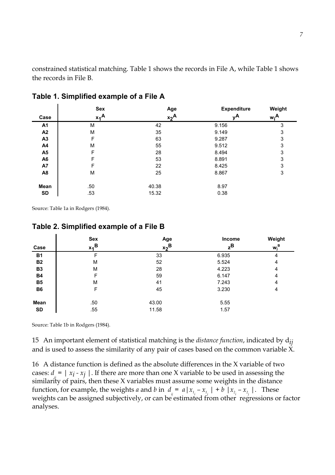constrained statistical matching. Table 1 shows the records in File A, while Table 1 shows the records in File B.

| Case           | <b>Sex</b><br>$x_1^A$ | Age<br>$x_2$ A | <b>Expenditure</b><br>νA | Weight<br>w <sub>i</sub> A |
|----------------|-----------------------|----------------|--------------------------|----------------------------|
| A1             | M                     | 42             | 9.156                    | 3                          |
| A2             | M                     | 35             | 9.149                    | 3                          |
| A3             | F                     | 63             | 9.287                    | 3                          |
| A4             | М                     | 55             | 9.512                    | 3                          |
| A <sub>5</sub> | F                     | 28             | 8.494                    | 3                          |
| A <sub>6</sub> | F                     | 53             | 8.891                    | 3                          |
| A7             | F                     | 22             | 8.425                    | 3                          |
| A8             | М                     | 25             | 8.867                    | 3                          |
| Mean           | .50                   | 40.38          | 8.97                     |                            |
| <b>SD</b>      | .53                   | 15.32          | 0.38                     |                            |

### **Table 1. Simplified example of a File A**

Source: Table 1a in Rodgers (1984).

 $\blacksquare$ 

|  | Table 2. Simplified example of a File B |  |  |  |
|--|-----------------------------------------|--|--|--|
|--|-----------------------------------------|--|--|--|

|           | <b>Sex</b>         | Age              | Income           | Weight  |
|-----------|--------------------|------------------|------------------|---------|
| Case      | $x_1$ <sup>B</sup> | x <sub>2</sub> B | $z^{\mathsf{B}}$ | $w_j^B$ |
| <b>B1</b> |                    | 33               | 6.935            | 4       |
| <b>B2</b> | М                  | 52               | 5.524            | 4       |
| <b>B3</b> | М                  | 28               | 4.223            | 4       |
| <b>B4</b> | F                  | 59               | 6.147            | 4       |
| <b>B5</b> | М                  | 41               | 7.243            | 4       |
| <b>B6</b> | F                  | 45               | 3.230            | 4       |
| Mean      | .50                | 43.00            | 5.55             |         |
| <b>SD</b> | .55                | 11.58            | 1.57             |         |

Source: Table 1b in Rodgers (1984).

15 An important element of statistical matching is the *distance function*, indicated by d*ij*  and is used to assess the similarity of any pair of cases based on the common variable  $\check{X}$ .

16 A distance function is defined as the absolute differences in the X variable of two cases:  $d_i = |x_i - x_j|$ . If there are more than one X variable to be used in assessing the similarity of pairs, then these X variables must assume some weights in the distance function, for example, the weights *a* and *b* in  $d_i = a |x_{i_i} - x_{i_j}| + b |x_{i_i} - x_{i_j}|$ . These weights can be assigned subjectively, or can be estimated from other regressions or factor analyses.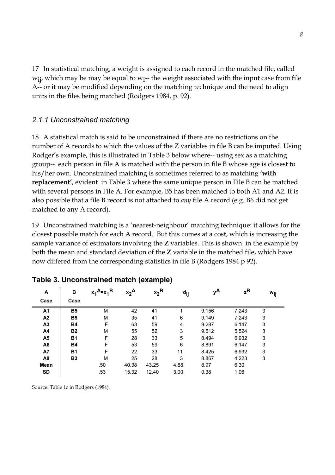17 In statistical matching, a weight is assigned to each record in the matched file, called  $w_{ij}$ , which may be may be equal to  $w_{i}$ -- the weight associated with the input case from file A-- or it may be modified depending on the matching technique and the need to align units in the files being matched (Rodgers 1984, p. 92).

### *2.1.1 Unconstrained matching*

18 A statistical match is said to be unconstrained if there are no restrictions on the number of A records to which the values of the Z variables in file B can be imputed. Using Rodger's example, this is illustrated in Table 3 below where-- using sex as a matching group-- each person in file A is matched with the person in file B whose age is closest to his/her own. Unconstrained matching is sometimes referred to as matching **with replacement'**, evident in Table 3 where the same unique person in File B can be matched with several persons in File A. For example, B5 has been matched to both A1 and A2. It is also possible that a file B record is not attached to *any* file A record (e.g. B6 did not get matched to any A record).

19 Unconstrained matching is a 'nearest-neighbour' matching technique: it allows for the closest possible match for each A record. But this comes at a cost, which is increasing the sample variance of estimators involving the **Z** variables. This is shown in the example by both the mean and standard deviation of the **Z** variable in the matched file, which have now differed from the corresponding statistics in file B (Rodgers 1984 p 92).

| A<br>Case      | в<br>Case | $x_1$ <sup>A</sup> = $x_2$ <sup>B</sup> | $x_2^A$ | $x_2^B$ | d <sub>ij</sub> | νA    | $z^{\mathsf{B}}$ | Wij |
|----------------|-----------|-----------------------------------------|---------|---------|-----------------|-------|------------------|-----|
| A <sub>1</sub> | <b>B5</b> | М                                       | 42      | 41      |                 | 9.156 | 7.243            | 3   |
| A2             | <b>B5</b> | M                                       | 35      | 41      | 6               | 9.149 | 7.243            | 3   |
| A3             | <b>B4</b> | F                                       | 63      | 59      | 4               | 9.287 | 6.147            | 3   |
| A4             | <b>B2</b> | M                                       | 55      | 52      | 3               | 9.512 | 5.524            | 3   |
| A <sub>5</sub> | <b>B1</b> | F                                       | 28      | 33      | 5               | 8.494 | 6.932            | 3   |
| A <sub>6</sub> | <b>B4</b> | F                                       | 53      | 59      | 6               | 8.891 | 6.147            | 3   |
| A7             | <b>B1</b> | F                                       | 22      | 33      | 11              | 8.425 | 6.932            | 3   |
| A <sub>8</sub> | <b>B3</b> | M                                       | 25      | 28      | 3               | 8.867 | 4.223            | 3   |
| Mean           |           | .50                                     | 40.38   | 43.25   | 4.88            | 8.97  | 6.30             |     |
| <b>SD</b>      |           | .53                                     | 15.32   | 12.40   | 3.00            | 0.38  | 1.06             |     |

#### **Table 3. Unconstrained match (example)**

Source: Table 1c in Rodgers (1984).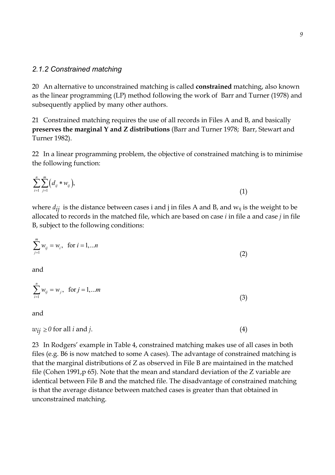#### *2.1.2 Constrained matching*

20 An alternative to unconstrained matching is called **constrained** matching, also known as the linear programming (LP) method following the work of Barr and Turner (1978) and subsequently applied by many other authors.

21 Constrained matching requires the use of all records in Files A and B, and basically **preserves the marginal Y and Z distributions** (Barr and Turner 1978; Barr, Stewart and Turner 1982).

22 In a linear programming problem, the objective of constrained matching is to minimise the following function:

$$
\sum_{i=1}^{n} \sum_{j=1}^{m} (d_{ij} * w_{ij}), \tag{1}
$$

where  $d_{ij}$  is the distance between cases i and j in files A and B, and  $w_{ij}$  is the weight to be allocated to records in the matched file, which are based on case *i* in file a and case *j* in file B, subject to the following conditions:

$$
\sum_{j=1}^{m} w_{ij} = w_i, \text{ for } i = 1,...n
$$
 (2)

and

$$
\sum_{i=1}^{n} w_{ij} = w_j, \text{ for } j = 1,...m
$$
 (3)

and

$$
w_{ij} \ge 0 \text{ for all } i \text{ and } j. \tag{4}
$$

23 In Rodgers' example in Table 4, constrained matching makes use of all cases in both files (e.g. B6 is now matched to some A cases). The advantage of constrained matching is that the marginal distributions of Z as observed in File B are maintained in the matched file (Cohen 1991,p 65). Note that the mean and standard deviation of the Z variable are identical between File B and the matched file. The disadvantage of constrained matching is that the average distance between matched cases is greater than that obtained in unconstrained matching.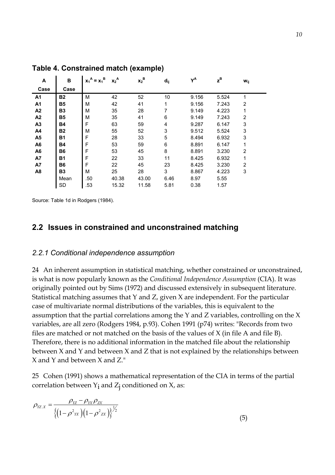| A              | в         | в<br>$x_1^A = x_1^T$ | $x_2^A$ | $\mathbf{x_2}^\mathsf{B}$ | d <sub>ij</sub> | $Y^A$ | $z^{\text{B}}$ | Wij            |
|----------------|-----------|----------------------|---------|---------------------------|-----------------|-------|----------------|----------------|
| Case           | Case      |                      |         |                           |                 |       |                |                |
| A <sub>1</sub> | <b>B2</b> | M                    | 42      | 52                        | 10              | 9.156 | 5.524          | 1              |
| A <sub>1</sub> | <b>B5</b> | M                    | 42      | 41                        | 1               | 9.156 | 7.243          | $\overline{2}$ |
| A <sub>2</sub> | <b>B3</b> | M                    | 35      | 28                        | 7               | 9.149 | 4.223          | 1              |
| A2             | B5        | M                    | 35      | 41                        | 6               | 9.149 | 7.243          | $\overline{c}$ |
| A <sub>3</sub> | <b>B4</b> | F                    | 63      | 59                        | 4               | 9.287 | 6.147          | 3              |
| A4             | <b>B2</b> | M                    | 55      | 52                        | 3               | 9.512 | 5.524          | 3              |
| A5             | <b>B1</b> | F                    | 28      | 33                        | 5               | 8.494 | 6.932          | 3              |
| A <sub>6</sub> | <b>B4</b> | F                    | 53      | 59                        | 6               | 8.891 | 6.147          | 1              |
| A <sub>6</sub> | <b>B6</b> | F                    | 53      | 45                        | 8               | 8.891 | 3.230          | $\overline{2}$ |
| A7             | <b>B1</b> | F                    | 22      | 33                        | 11              | 8.425 | 6.932          | 1              |
| A7             | <b>B6</b> | F                    | 22      | 45                        | 23              | 8.425 | 3.230          | $\overline{2}$ |
| A <sub>8</sub> | <b>B3</b> | M                    | 25      | 28                        | 3               | 8.867 | 4.223          | 3              |
|                | Mean      | .50                  | 40.38   | 43.00                     | 6.46            | 8.97  | 5.55           |                |
|                | <b>SD</b> | .53                  | 15.32   | 11.58                     | 5.81            | 0.38  | 1.57           |                |

**Table 4. Constrained match (example)** 

Source: Table 1d in Rodgers (1984).

### **2.2 Issues in constrained and unconstrained matching**

#### *2.2.1 Conditional independence assumption*

24 An inherent assumption in statistical matching, whether constrained or unconstrained, is what is now popularly known as the *Conditional Independence Assumption* (CIA). It was originally pointed out by Sims (1972) and discussed extensively in subsequent literature. Statistical matching assumes that Y and Z, given X are independent. For the particular case of multivariate normal distributions of the variables, this is equivalent to the assumption that the partial correlations among the Y and Z variables, controlling on the X variables, are all zero (Rodgers 1984, p.93). Cohen 1991 (p74) writes: "Records from two files are matched or not matched on the basis of the values of X (in file A and file B). Therefore, there is no additional information in the matched file about the relationship between X and Y and between X and Z that is not explained by the relationships between X and Y and between X and Z."

25 Cohen (1991) shows a mathematical representation of the CIA in terms of the partial correlation between  $Y_i$  and  $Z_j$  conditioned on X, as:

$$
\rho_{YZ.X} = \frac{\rho_{YZ} - \rho_{XX} \rho_{ZX}}{\left\{ \left( 1 - \rho^2_{XX} \right) \left( 1 - \rho^2_{XX} \right) \right\}^{\frac{1}{2}}}
$$
\n(5)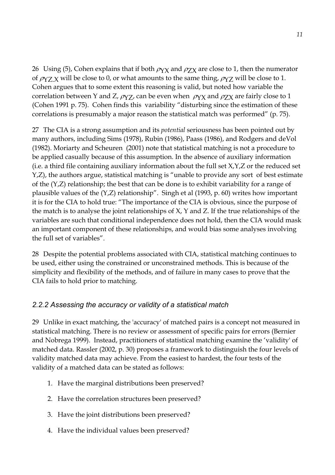26 Using (5), Cohen explains that if both  $\rho_{\rm YX}$  and  $\rho_{\rm ZX}$  are close to 1, then the numerator of  $\rho_{YZ}$  will be close to 0, or what amounts to the same thing,  $\rho_{YZ}$  will be close to 1. Cohen argues that to some extent this reasoning is valid, but noted how variable the correlation between Y and Z,  $\rho_{YZ}$ , can be even when  $\rho_{YY}$  and  $\rho_{ZX}$  are fairly close to 1 (Cohen 1991 p. 75). Cohen finds this variability "disturbing since the estimation of these correlations is presumably a major reason the statistical match was performed" (p. 75).

27 The CIA is a strong assumption and its *potential* seriousness has been pointed out by many authors, including Sims (1978), Rubin (1986), Paass (1986), and Rodgers and deVol (1982). Moriarty and Scheuren (2001) note that statistical matching is not a procedure to be applied casually because of this assumption. In the absence of auxiliary information (i.e. a third file containing auxiliary information about the full set X,Y,Z or the reduced set  $Y,Z$ ), the authors argue, statistical matching is "unable to provide any sort of best estimate of the (Y,Z) relationship; the best that can be done is to exhibit variability for a range of plausible values of the  $(Y,Z)$  relationship". Singh et al  $(1993, p. 60)$  writes how important it is for the CIA to hold true: "The importance of the CIA is obvious, since the purpose of the match is to analyse the joint relationships of X, Y and Z. If the true relationships of the variables are such that conditional independence does not hold, then the CIA would mask an important component of these relationships, and would bias some analyses involving the full set of variables".

28 Despite the potential problems associated with CIA, statistical matching continues to be used, either using the constrained or unconstrained methods. This is because of the simplicity and flexibility of the methods, and of failure in many cases to prove that the CIA fails to hold prior to matching.

### *2.2.2 Assessing the accuracy or validity of a statistical match*

29 Unlike in exact matching, the 'accuracy' of matched pairs is a concept not measured in statistical matching. There is no review or assessment of specific pairs for errors (Bernier and Nobrega 1999). Instead, practitioners of statistical matching examine the 'validity' of matched data. Rassler (2002, p. 30) proposes a framework to distinguish the four levels of validity matched data may achieve. From the easiest to hardest, the four tests of the validity of a matched data can be stated as follows:

- 1. Have the marginal distributions been preserved?
- 2. Have the correlation structures been preserved?
- 3. Have the joint distributions been preserved?
- 4. Have the individual values been preserved?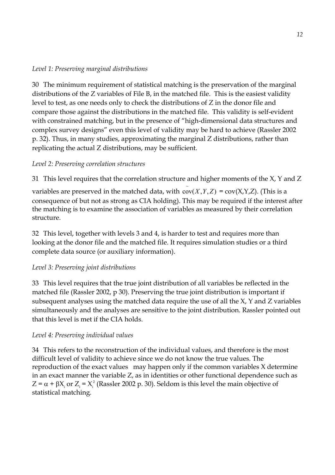#### *Level 1: Preserving marginal distributions*

30 The minimum requirement of statistical matching is the preservation of the marginal distributions of the Z variables of File B, in the matched file. This is the easiest validity level to test, as one needs only to check the distributions of Z in the donor file and compare those against the distributions in the matched file. This validity is self-evident with constrained matching, but in the presence of "high-dimensional data structures and complex survey designs" even this level of validity may be hard to achieve (Rassler 2002 p. 32). Thus, in many studies, approximating the marginal Z distributions, rather than replicating the actual Z distributions, may be sufficient.

### *Level 2: Preserving correlation structures*

31 This level requires that the correlation structure and higher moments of the X, Y and Z

variables are preserved in the matched data, with  $\tilde{\text{cov}}(X, Y, Z) = \text{cov}(X, Y, Z)$ . (This is a consequence of but not as strong as CIA holding). This may be required if the interest after the matching is to examine the association of variables as measured by their correlation structure.

32 This level, together with levels 3 and 4, is harder to test and requires more than looking at the donor file and the matched file. It requires simulation studies or a third complete data source (or auxiliary information).

### *Level 3: Preserving joint distributions*

33 This level requires that the true joint distribution of all variables be reflected in the matched file (Rassler 2002, p 30). Preserving the true joint distribution is important if subsequent analyses using the matched data require the use of all the X, Y and Z variables simultaneously and the analyses are sensitive to the joint distribution. Rassler pointed out that this level is met if the CIA holds.

### *Level 4: Preserving individual values*

34 This refers to the reconstruction of the individual values, and therefore is the most difficult level of validity to achieve since we do not know the true values. The reproduction of the exact values may happen only if the common variables X determine in an exact manner the variable Z, as in identities or other functional dependence such as  $Z = \alpha + \beta X_i$  or  $Z_i = X_i^2$  (Rassler 2002 p. 30). Seldom is this level the main objective of statistical matching.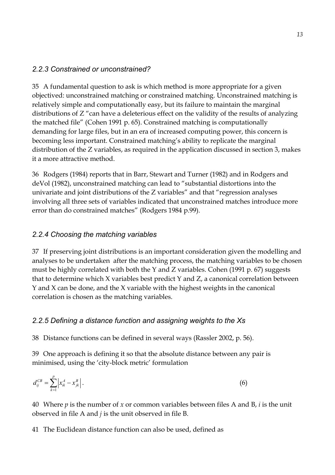### *2.2.3 Constrained or unconstrained?*

35 A fundamental question to ask is which method is more appropriate for a given objectived: unconstrained matching or constrained matching. Unconstrained matching is relatively simple and computationally easy, but its failure to maintain the marginal distributions of Z "can have a deleterious effect on the validity of the results of analyzing the matched file" (Cohen 1991 p. 65). Constrained matching is computationally demanding for large files, but in an era of increased computing power, this concern is becoming less important. Constrained matching's ability to replicate the marginal distribution of the Z variables, as required in the application discussed in section 3, makes it a more attractive method.

36 Rodgers (1984) reports that in Barr, Stewart and Turner (1982) and in Rodgers and deVol (1982), unconstrained matching can lead to "substantial distortions into the univariate and joint distributions of the  $Z$  variables" and that "regression analyses involving all three sets of variables indicated that unconstrained matches introduce more error than do constrained matches" (Rodgers 1984 p.99).

### *2.2.4 Choosing the matching variables*

37 If preserving joint distributions is an important consideration given the modelling and analyses to be undertaken after the matching process, the matching variables to be chosen must be highly correlated with both the Y and Z variables. Cohen (1991 p. 67) suggests that to determine which X variables best predict Y and Z, a canonical correlation between Y and X can be done, and the X variable with the highest weights in the canonical correlation is chosen as the matching variables.

### *2.2.5 Defining a distance function and assigning weights to the Xs*

38 Distance functions can be defined in several ways (Rassler 2002, p. 56).

39 One approach is defining it so that the absolute distance between any pair is minimised, using the 'city-block metric' formulation

$$
d_{ij}^{CB} = \sum_{k=1}^{p} \left| x_{ik}^A - x_{jk}^B \right|.
$$
 (6)

40 Where *p* is the number of *x* or common variables between files A and B, *i* is the unit observed in file A and *j* is the unit observed in file B.

41 The Euclidean distance function can also be used, defined as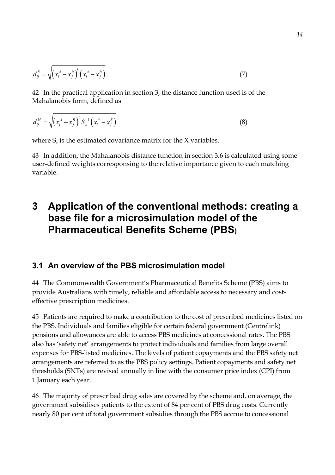$$
d_{ij}^E = \sqrt{\left(x_i^A - x_j^B\right)'\left(x_i^A - x_j^B\right)}\,. \tag{7}
$$

42 In the practical application in section 3, the distance function used is of the Mahalanobis form, defined as

$$
d_{ij}^M = \sqrt{\left(x_i^A - x_j^B\right)^{\prime} S_x^{-1} \left(x_i^A - x_j^B\right)}
$$
\n(8)

where  $S_{\gamma}$  is the estimated covariance matrix for the X variables.

43 In addition, the Mahalanobis distance function in section 3.6 is calculated using some user-defined weights corresponsing to the relative importance given to each matching variable.

# **3 Application of the conventional methods: creating a base file for a microsimulation model of the Pharmaceutical Benefits Scheme (PBS)**

### **3.1 An overview of the PBS microsimulation model**

44 The Commonwealth Government's Pharmaceutical Benefits Scheme (PBS) aims to provide Australians with timely, reliable and affordable access to necessary and costeffective prescription medicines.

45 Patients are required to make a contribution to the cost of prescribed medicines listed on the PBS. Individuals and families eligible for certain federal government (Centrelink) pensions and allowances are able to access PBS medicines at concessional rates. The PBS also has 'safety net' arrangements to protect individuals and families from large overall expenses for PBS-listed medicines. The levels of patient copayments and the PBS safety net arrangements are referred to as the PBS policy settings. Patient copayments and safety net thresholds (SNTs) are revised annually in line with the consumer price index (CPI) from 1 January each year.

46 The majority of prescribed drug sales are covered by the scheme and, on average, the government subsidises patients to the extent of 84 per cent of PBS drug costs. Currently nearly 80 per cent of total government subsidies through the PBS accrue to concessional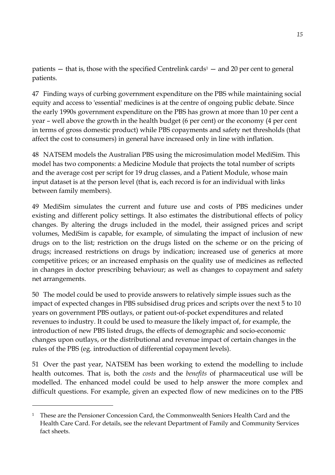patients  $-$  that is, those with the specified Centrelink cards<sup>1</sup>  $-$  and 20 per cent to general patients.

47 Finding ways of curbing government expenditure on the PBS while maintaining social equity and access to 'essential' medicines is at the centre of ongoing public debate. Since the early 1990s government expenditure on the PBS has grown at more than 10 per cent a year – well above the growth in the health budget (6 per cent) or the economy (4 per cent in terms of gross domestic product) while PBS copayments and safety net thresholds (that affect the cost to consumers) in general have increased only in line with inflation.

48 NATSEM models the Australian PBS using the microsimulation model MediSim. This model has two components: a Medicine Module that projects the total number of scripts and the average cost per script for 19 drug classes, and a Patient Module, whose main input dataset is at the person level (that is, each record is for an individual with links between family members).

49 MediSim simulates the current and future use and costs of PBS medicines under existing and different policy settings. It also estimates the distributional effects of policy changes. By altering the drugs included in the model, their assigned prices and script volumes, MediSim is capable, for example, of simulating the impact of inclusion of new drugs on to the list; restriction on the drugs listed on the scheme or on the pricing of drugs; increased restrictions on drugs by indication; increased use of generics at more competitive prices; or an increased emphasis on the quality use of medicines as reflected in changes in doctor prescribing behaviour; as well as changes to copayment and safety net arrangements.

50 The model could be used to provide answers to relatively simple issues such as the impact of expected changes in PBS subsidised drug prices and scripts over the next 5 to 10 years on government PBS outlays, or patient out-of-pocket expenditures and related revenues to industry. It could be used to measure the likely impact of, for example, the introduction of new PBS listed drugs, the effects of demographic and socio-economic changes upon outlays, or the distributional and revenue impact of certain changes in the rules of the PBS (eg. introduction of differential copayment levels).

51 Over the past year, NATSEM has been working to extend the modelling to include health outcomes. That is, both the *costs* and the *benefits* of pharmaceutical use will be modelled. The enhanced model could be used to help answer the more complex and difficult questions. For example, given an expected flow of new medicines on to the PBS

 $\overline{a}$ 

<sup>&</sup>lt;sup>1</sup> These are the Pensioner Concession Card, the Commonwealth Seniors Health Card and the Health Care Card. For details, see the relevant Department of Family and Community Services fact sheets.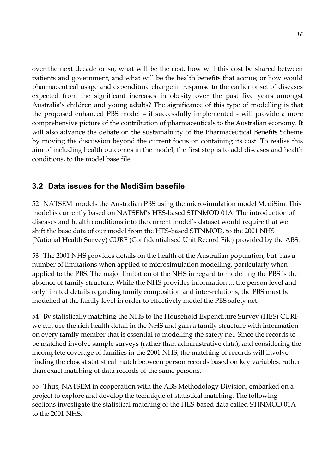over the next decade or so, what will be the cost, how will this cost be shared between patients and government, and what will be the health benefits that accrue; or how would pharmaceutical usage and expenditure change in response to the earlier onset of diseases expected from the significant increases in obesity over the past five years amongst Australiaís children and young adults? The significance of this type of modelling is that the proposed enhanced PBS model – if successfully implemented - will provide a more comprehensive picture of the contribution of pharmaceuticals to the Australian economy. It will also advance the debate on the sustainability of the Pharmaceutical Benefits Scheme by moving the discussion beyond the current focus on containing its cost. To realise this aim of including health outcomes in the model, the first step is to add diseases and health conditions, to the model base file.

## **3.2 Data issues for the MediSim basefile**

52 NATSEM models the Australian PBS using the microsimulation model MediSim. This model is currently based on NATSEMís HES-based STINMOD 01A. The introduction of diseases and health conditions into the current model's dataset would require that we shift the base data of our model from the HES-based STINMOD, to the 2001 NHS (National Health Survey) CURF (Confidentialised Unit Record File) provided by the ABS.

53 The 2001 NHS provides details on the health of the Australian population, but has a number of limitations when applied to microsimulation modelling, particularly when applied to the PBS. The major limitation of the NHS in regard to modelling the PBS is the absence of family structure. While the NHS provides information at the person level and only limited details regarding family composition and inter-relations, the PBS must be modelled at the family level in order to effectively model the PBS safety net.

54 By statistically matching the NHS to the Household Expenditure Survey (HES) CURF we can use the rich health detail in the NHS and gain a family structure with information on every family member that is essential to modelling the safety net. Since the records to be matched involve sample surveys (rather than administrative data), and considering the incomplete coverage of families in the 2001 NHS, the matching of records will involve finding the closest statistical match between person records based on key variables, rather than exact matching of data records of the same persons.

55 Thus, NATSEM in cooperation with the ABS Methodology Division, embarked on a project to explore and develop the technique of statistical matching. The following sections investigate the statistical matching of the HES-based data called STINMOD 01A to the 2001 NHS.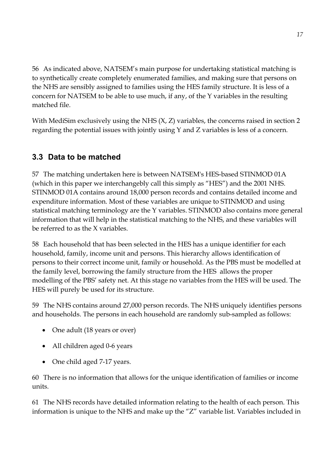56 As indicated above, NATSEM's main purpose for undertaking statistical matching is to synthetically create completely enumerated families, and making sure that persons on the NHS are sensibly assigned to families using the HES family structure. It is less of a concern for NATSEM to be able to use much, if any, of the Y variables in the resulting matched file.

With MediSim exclusively using the NHS (X, Z) variables, the concerns raised in section 2 regarding the potential issues with jointly using Y and Z variables is less of a concern.

# **3.3 Data to be matched**

57 The matching undertaken here is between NATSEM's HES-based STINMOD 01A (which in this paper we interchangebly call this simply as "HES") and the 2001 NHS. STINMOD 01A contains around 18,000 person records and contains detailed income and expenditure information. Most of these variables are unique to STINMOD and using statistical matching terminology are the Y variables. STINMOD also contains more general information that will help in the statistical matching to the NHS, and these variables will be referred to as the X variables.

58 Each household that has been selected in the HES has a unique identifier for each household, family, income unit and persons. This hierarchy allows identification of persons to their correct income unit, family or household. As the PBS must be modelled at the family level, borrowing the family structure from the HES allows the proper modelling of the PBS' safety net. At this stage no variables from the HES will be used. The HES will purely be used for its structure.

59 The NHS contains around 27,000 person records. The NHS uniquely identifies persons and households. The persons in each household are randomly sub-sampled as follows:

- One adult (18 years or over)
- All children aged 0-6 years
- One child aged 7-17 years.

60 There is no information that allows for the unique identification of families or income units.

61 The NHS records have detailed information relating to the health of each person. This information is unique to the NHS and make up the "Z" variable list. Variables included in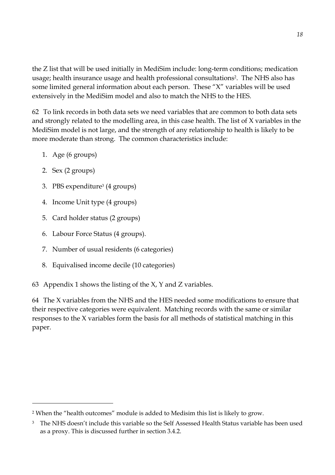the Z list that will be used initially in MediSim include: long-term conditions; medication usage; health insurance usage and health professional consultations<sup>2</sup>. The NHS also has some limited general information about each person. These  $X''$  variables will be used extensively in the MediSim model and also to match the NHS to the HES.

62 To link records in both data sets we need variables that are common to both data sets and strongly related to the modelling area, in this case health. The list of X variables in the MediSim model is not large, and the strength of any relationship to health is likely to be more moderate than strong. The common characteristics include:

- 1. Age (6 groups)
- 2. Sex (2 groups)

 $\overline{a}$ 

- 3. PBS expenditure3 (4 groups)
- 4. Income Unit type (4 groups)
- 5. Card holder status (2 groups)
- 6. Labour Force Status (4 groups).
- 7. Number of usual residents (6 categories)
- 8. Equivalised income decile (10 categories)
- 63 Appendix 1 shows the listing of the X, Y and Z variables.

64 The X variables from the NHS and the HES needed some modifications to ensure that their respective categories were equivalent. Matching records with the same or similar responses to the X variables form the basis for all methods of statistical matching in this paper.

<sup>&</sup>lt;sup>2</sup> When the "health outcomes" module is added to Medisim this list is likely to grow.

<sup>&</sup>lt;sup>3</sup> The NHS doesn't include this variable so the Self Assessed Health Status variable has been used as a proxy. This is discussed further in section 3.4.2.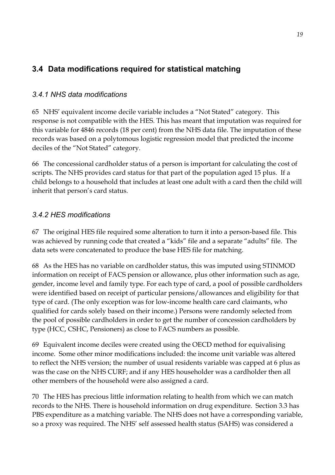# **3.4 Data modifications required for statistical matching**

## *3.4.1 NHS data modifications*

65 NHS' equivalent income decile variable includes a "Not Stated" category. This response is not compatible with the HES. This has meant that imputation was required for this variable for 4846 records (18 per cent) from the NHS data file. The imputation of these records was based on a polytomous logistic regression model that predicted the income deciles of the "Not Stated" category.

66 The concessional cardholder status of a person is important for calculating the cost of scripts. The NHS provides card status for that part of the population aged 15 plus. If a child belongs to a household that includes at least one adult with a card then the child will inherit that person's card status.

## *3.4.2 HES modifications*

67 The original HES file required some alteration to turn it into a person-based file. This was achieved by running code that created a "kids" file and a separate "adults" file. The data sets were concatenated to produce the base HES file for matching.

68 As the HES has no variable on cardholder status, this was imputed using STINMOD information on receipt of FACS pension or allowance, plus other information such as age, gender, income level and family type. For each type of card, a pool of possible cardholders were identified based on receipt of particular pensions/allowances and eligibility for that type of card. (The only exception was for low-income health care card claimants, who qualified for cards solely based on their income.) Persons were randomly selected from the pool of possible cardholders in order to get the number of concession cardholders by type (HCC, CSHC, Pensioners) as close to FACS numbers as possible.

69 Equivalent income deciles were created using the OECD method for equivalising income. Some other minor modifications included: the income unit variable was altered to reflect the NHS version; the number of usual residents variable was capped at 6 plus as was the case on the NHS CURF; and if any HES householder was a cardholder then all other members of the household were also assigned a card.

70 The HES has precious little information relating to health from which we can match records to the NHS. There is household information on drug expenditure. Section 3.3 has PBS expenditure as a matching variable. The NHS does not have a corresponding variable, so a proxy was required. The NHS' self assessed health status (SAHS) was considered a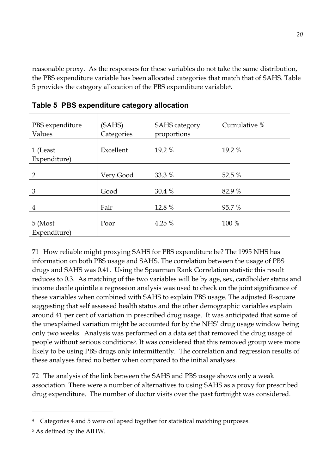reasonable proxy. As the responses for these variables do not take the same distribution, the PBS expenditure variable has been allocated categories that match that of SAHS. Table 5 provides the category allocation of the PBS expenditure variable4.

| PBS expenditure<br>Values | (SAHS)<br>Categories | <b>SAHS</b> category<br>proportions | Cumulative % |
|---------------------------|----------------------|-------------------------------------|--------------|
| 1 (Least<br>Expenditure)  | Excellent            | 19.2 %                              | 19.2 %       |
| $\overline{2}$            | Very Good            | 33.3 %                              | 52.5 %       |
| 3                         | Good                 | 30.4 %                              | 82.9 %       |
| $\overline{4}$            | Fair                 | 12.8 %                              | 95.7%        |
| 5 (Most<br>Expenditure)   | Poor                 | 4.25 %                              | 100 %        |

**Table 5 PBS expenditure category allocation** 

71 How reliable might proxying SAHS for PBS expenditure be? The 1995 NHS has information on both PBS usage and SAHS. The correlation between the usage of PBS drugs and SAHS was 0.41. Using the Spearman Rank Correlation statistic this result reduces to 0.3. As matching of the two variables will be by age, sex, cardholder status and income decile quintile a regression analysis was used to check on the joint significance of these variables when combined with SAHS to explain PBS usage. The adjusted R-square suggesting that self assessed health status and the other demographic variables explain around 41 per cent of variation in prescribed drug usage. It was anticipated that some of the unexplained variation might be accounted for by the NHS' drug usage window being only two weeks. Analysis was performed on a data set that removed the drug usage of people without serious conditions5. It was considered that this removed group were more likely to be using PBS drugs only intermittently. The correlation and regression results of these analyses fared no better when compared to the initial analyses.

72 The analysis of the link between the SAHS and PBS usage shows only a weak association. There were a number of alternatives to using SAHS as a proxy for prescribed drug expenditure. The number of doctor visits over the past fortnight was considered.

 $\overline{a}$ 

<sup>&</sup>lt;sup>4</sup> Categories 4 and 5 were collapsed together for statistical matching purposes.

<sup>5</sup> As defined by the AIHW.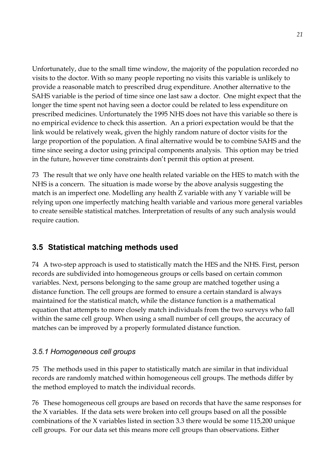Unfortunately, due to the small time window, the majority of the population recorded no visits to the doctor. With so many people reporting no visits this variable is unlikely to provide a reasonable match to prescribed drug expenditure. Another alternative to the SAHS variable is the period of time since one last saw a doctor. One might expect that the longer the time spent not having seen a doctor could be related to less expenditure on prescribed medicines. Unfortunately the 1995 NHS does not have this variable so there is no empirical evidence to check this assertion. An a priori expectation would be that the link would be relatively weak, given the highly random nature of doctor visits for the large proportion of the population. A final alternative would be to combine SAHS and the time since seeing a doctor using principal components analysis. This option may be tried in the future, however time constraints don't permit this option at present.

73 The result that we only have one health related variable on the HES to match with the NHS is a concern. The situation is made worse by the above analysis suggesting the match is an imperfect one. Modelling any health Z variable with any Y variable will be relying upon one imperfectly matching health variable and various more general variables to create sensible statistical matches. Interpretation of results of any such analysis would require caution.

# **3.5 Statistical matching methods used**

74 A two-step approach is used to statistically match the HES and the NHS. First, person records are subdivided into homogeneous groups or cells based on certain common variables. Next, persons belonging to the same group are matched together using a distance function. The cell groups are formed to ensure a certain standard is always maintained for the statistical match, while the distance function is a mathematical equation that attempts to more closely match individuals from the two surveys who fall within the same cell group. When using a small number of cell groups, the accuracy of matches can be improved by a properly formulated distance function.

## *3.5.1 Homogeneous cell groups*

75 The methods used in this paper to statistically match are similar in that individual records are randomly matched within homogeneous cell groups. The methods differ by the method employed to match the individual records.

76 These homogeneous cell groups are based on records that have the same responses for the X variables. If the data sets were broken into cell groups based on all the possible combinations of the X variables listed in section 3.3 there would be some 115,200 unique cell groups. For our data set this means more cell groups than observations. Either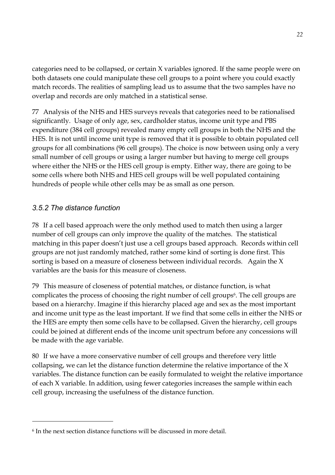categories need to be collapsed, or certain X variables ignored. If the same people were on both datasets one could manipulate these cell groups to a point where you could exactly match records. The realities of sampling lead us to assume that the two samples have no overlap and records are only matched in a statistical sense.

77 Analysis of the NHS and HES surveys reveals that categories need to be rationalised significantly. Usage of only age, sex, cardholder status, income unit type and PBS expenditure (384 cell groups) revealed many empty cell groups in both the NHS and the HES. It is not until income unit type is removed that it is possible to obtain populated cell groups for all combinations (96 cell groups). The choice is now between using only a very small number of cell groups or using a larger number but having to merge cell groups where either the NHS or the HES cell group is empty. Either way, there are going to be some cells where both NHS and HES cell groups will be well populated containing hundreds of people while other cells may be as small as one person.

## *3.5.2 The distance function*

 $\overline{a}$ 

78 If a cell based approach were the only method used to match then using a larger number of cell groups can only improve the quality of the matches. The statistical matching in this paper doesn't just use a cell groups based approach. Records within cell groups are not just randomly matched, rather some kind of sorting is done first. This sorting is based on a measure of closeness between individual records. Again the X variables are the basis for this measure of closeness.

79 This measure of closeness of potential matches, or distance function, is what complicates the process of choosing the right number of cell groups<sup>6</sup>. The cell groups are based on a hierarchy. Imagine if this hierarchy placed age and sex as the most important and income unit type as the least important. If we find that some cells in either the NHS or the HES are empty then some cells have to be collapsed. Given the hierarchy, cell groups could be joined at different ends of the income unit spectrum before any concessions will be made with the age variable.

80 If we have a more conservative number of cell groups and therefore very little collapsing, we can let the distance function determine the relative importance of the X variables. The distance function can be easily formulated to weight the relative importance of each X variable. In addition, using fewer categories increases the sample within each cell group, increasing the usefulness of the distance function.

<sup>&</sup>lt;sup>6</sup> In the next section distance functions will be discussed in more detail.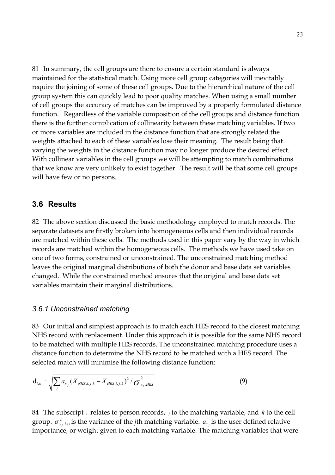81 In summary, the cell groups are there to ensure a certain standard is always maintained for the statistical match. Using more cell group categories will inevitably require the joining of some of these cell groups. Due to the hierarchical nature of the cell group system this can quickly lead to poor quality matches. When using a small number of cell groups the accuracy of matches can be improved by a properly formulated distance function. Regardless of the variable composition of the cell groups and distance function there is the further complication of collinearity between these matching variables. If two or more variables are included in the distance function that are strongly related the weights attached to each of these variables lose their meaning. The result being that varying the weights in the distance function may no longer produce the desired effect. With collinear variables in the cell groups we will be attempting to match combinations that we know are very unlikely to exist together. The result will be that some cell groups will have few or no persons.

#### **3.6 Results**

82 The above section discussed the basic methodology employed to match records. The separate datasets are firstly broken into homogeneous cells and then individual records are matched within these cells. The methods used in this paper vary by the way in which records are matched within the homogeneous cells. The methods we have used take on one of two forms, constrained or unconstrained. The unconstrained matching method leaves the original marginal distributions of both the donor and base data set variables changed. While the constrained method ensures that the original and base data set variables maintain their marginal distributions.

#### *3.6.1 Unconstrained matching*

83 Our initial and simplest approach is to match each HES record to the closest matching NHS record with replacement. Under this approach it is possible for the same NHS record to be matched with multiple HES records. The unconstrained matching procedure uses a distance function to determine the NHS record to be matched with a HES record. The selected match will minimise the following distance function:

$$
\mathbf{d}_{i,k} = \sqrt{\sum_{j} a_{x_j} (X_{NHS,i,j,k} - X_{HES,i,j,k})^2 / \sigma_{x_j,HES}^2}
$$
(9)

84 The subscript *i* relates to person records, *<sup>j</sup>* to the matching variable, and *k* to the cell group.  $\sigma_{x_j, hes}^2$  is the variance of the *j*th matching variable.  $a_{x_j}$  is the user defined relative importance, or weight given to each matching variable. The matching variables that were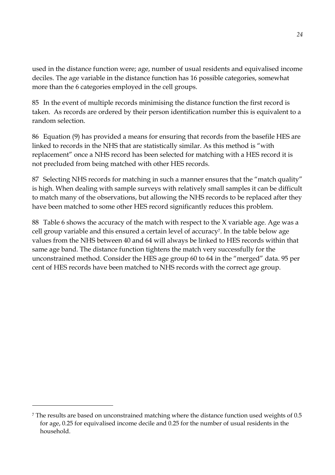used in the distance function were; age, number of usual residents and equivalised income deciles. The age variable in the distance function has 16 possible categories, somewhat more than the 6 categories employed in the cell groups.

85 In the event of multiple records minimising the distance function the first record is taken. As records are ordered by their person identification number this is equivalent to a random selection.

86 Equation (9) has provided a means for ensuring that records from the basefile HES are linked to records in the NHS that are statistically similar. As this method is "with replacement" once a NHS record has been selected for matching with a HES record it is not precluded from being matched with other HES records.

87 Selecting NHS records for matching in such a manner ensures that the "match quality" is high. When dealing with sample surveys with relatively small samples it can be difficult to match many of the observations, but allowing the NHS records to be replaced after they have been matched to some other HES record significantly reduces this problem.

88 Table 6 shows the accuracy of the match with respect to the X variable age. Age was a cell group variable and this ensured a certain level of accuracy7. In the table below age values from the NHS between 40 and 64 will always be linked to HES records within that same age band. The distance function tightens the match very successfully for the unconstrained method. Consider the HES age group 60 to 64 in the "merged" data. 95 per cent of HES records have been matched to NHS records with the correct age group.

 $\overline{a}$ 

<sup>7</sup> The results are based on unconstrained matching where the distance function used weights of 0.5 for age, 0.25 for equivalised income decile and 0.25 for the number of usual residents in the household.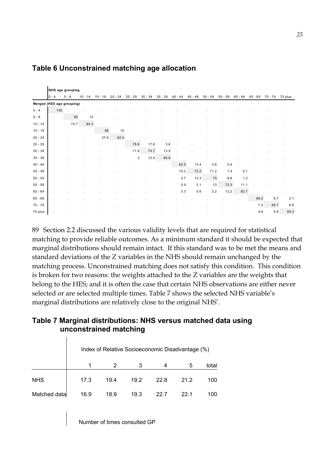|           | NHS age grouping          |         |          |           |              |           |              |             |           |             |           |           |           |           |         |         |
|-----------|---------------------------|---------|----------|-----------|--------------|-----------|--------------|-------------|-----------|-------------|-----------|-----------|-----------|-----------|---------|---------|
|           | $10 - 4$                  | $5 - 9$ | 10<br>14 | $15 - 19$ | $20 -$<br>24 | $25 - 29$ | $30 -$<br>34 | $-39$<br>35 | $40 - 44$ | $-49$<br>45 | $50 - 54$ | $55 - 59$ | $60 - 64$ | $65 - 69$ | 70 - 74 | 75 plus |
|           | Merged (HES age grouping) |         |          |           |              |           |              |             |           |             |           |           |           |           |         |         |
| $0 - 4$   | 100                       | $\cdot$ |          |           |              |           |              |             |           |             |           |           |           |           |         |         |
| $5 - 9$   |                           | 90      | 10       |           |              |           |              |             |           |             |           |           |           |           |         |         |
| $10 - 14$ |                           | 15.7    | 84.3     |           |              |           |              |             |           |             |           |           |           |           |         |         |
| $15 - 19$ |                           |         |          | 88        | 12           |           |              |             |           |             |           |           |           |           |         |         |
| $20 - 24$ |                           |         |          | 37.6      | 62.4         |           |              |             |           |             |           |           |           |           |         |         |
| $25 - 29$ |                           |         |          |           |              | 78.8      | 17.6         | 3.6         |           |             |           |           |           |           |         |         |
| $30 - 34$ |                           |         |          |           |              | 11.8      | 74.7         | 13.5        |           |             |           |           |           |           |         |         |
| $35 - 39$ |                           |         |          |           |              | 3         | 12.4         | 84.6        |           |             |           |           |           |           |         |         |
| $40 - 44$ |                           |         |          |           |              |           |              | ٠           | 82.5      | 13.4        | 3.6       | 0.4       |           |           |         |         |
| $45 - 49$ |                           |         |          |           |              |           |              |             | 15.2      | 72.2        | 11.2      | 1.4       | 0.1       |           |         |         |
| $50 - 54$ |                           |         |          |           |              |           |              |             | 2.7       | 12.3        | 75        | 8.8       | 1.2       |           |         |         |
| $55 - 59$ | ٠                         |         |          |           |              |           |              |             | 0.5       | 3.1         | 13        | 72.3      | 11.1      |           |         |         |
| $60 - 64$ |                           |         |          |           |              |           |              |             | 0.3       | 0.6         | $3.2\,$   | 12.2      | 83.7      |           |         |         |
| $65 - 69$ | ٠                         |         |          |           |              |           |              |             |           |             |           |           |           | 89.2      | 8.7     | 2.1     |
| $70 - 74$ |                           |         |          |           |              |           |              |             |           |             |           |           |           | 7.4       | 85.7    | 6.9     |
| 75 plus   |                           |         |          |           |              |           |              |             |           |             |           |           |           | 4.9       | 5.8     | 89.3    |

### **Table 6 Unconstrained matching age allocation**

89 Section 2.2 discussed the various validity levels that are required for statistical matching to provide reliable outcomes. As a minimum standard it should be expected that marginal distributions should remain intact. If this standard was to be met the means and standard deviations of the Z variables in the NHS should remain unchanged by the matching process. Unconstrained matching does not satisfy this condition. This condition is broken for two reasons: the weights attached to the Z variables are the weights that belong to the HES; and it is often the case that certain NHS observations are either never selected or are selected multiple times. Table 7 shows the selected NHS variable's marginal distributions are relatively close to the original NHS'.

### **Table 7 Marginal distributions: NHS versus matched data using unconstrained matching**

|              |      |      |      |      | Index of Relative Socioeconomic Disadvantage (%) |       |
|--------------|------|------|------|------|--------------------------------------------------|-------|
|              |      |      | 3    |      | 5                                                | total |
| <b>NHS</b>   | 17.3 | 19.4 | 19.2 | 22.8 | 21.2                                             | 100   |
| Matched data | 16.9 | 18.9 | 19.3 | 22 7 | 22 1                                             | 100   |

Number of times consulted GP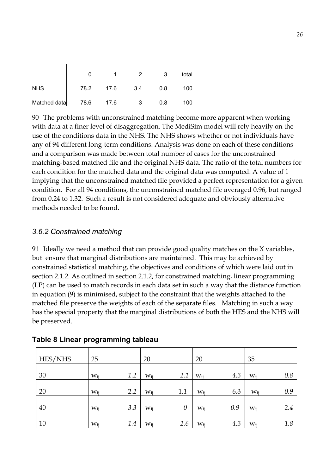|              |      |      |     |     | total |
|--------------|------|------|-----|-----|-------|
| <b>NHS</b>   | 78.2 | 17.6 | 3.4 | 0.8 | 100   |
| Matched data | 78.6 | 17.6 | 3   | 0.8 | 100   |

90 The problems with unconstrained matching become more apparent when working with data at a finer level of disaggregation. The MediSim model will rely heavily on the use of the conditions data in the NHS. The NHS shows whether or not individuals have any of 94 different long-term conditions. Analysis was done on each of these conditions and a comparison was made between total number of cases for the unconstrained matching-based matched file and the original NHS data. The ratio of the total numbers for each condition for the matched data and the original data was computed. A value of 1 implying that the unconstrained matched file provided a perfect representation for a given condition. For all 94 conditions, the unconstrained matched file averaged 0.96, but ranged from 0.24 to 1.32. Such a result is not considered adequate and obviously alternative methods needed to be found.

#### *3.6.2 Constrained matching*

 $\overline{1}$ 

91 Ideally we need a method that can provide good quality matches on the X variables, but ensure that marginal distributions are maintained. This may be achieved by constrained statistical matching, the objectives and conditions of which were laid out in section 2.1.2. As outlined in section 2.1.2, for constrained matching, linear programming (LP) can be used to match records in each data set in such a way that the distance function in equation (9) is minimised, subject to the constraint that the weights attached to the matched file preserve the weights of each of the separate files. Matching in such a way has the special property that the marginal distributions of both the HES and the NHS will be preserved.

| HES/NHS | 25        |     | 20       |          | 20  |     | 35       |     |
|---------|-----------|-----|----------|----------|-----|-----|----------|-----|
| 30      | Wii       | 1.2 | $W_{ii}$ | 2.1      | Wii | 4.3 | $W_{ii}$ | 0.8 |
| 20      | $W_{i j}$ | 2.2 | Wij      | 1.1      | Wij | 6.3 | $W_{ij}$ | 0.9 |
| 40      | $W_{ij}$  | 3.3 | $W_{ij}$ | $\theta$ | Wij | 0.9 | Wij      | 2.4 |
| 10      | Wij       | 1.4 | Wij      | 2.6      | Wij | 4.3 | $W_{ii}$ | 1.8 |

**Table 8 Linear programming tableau**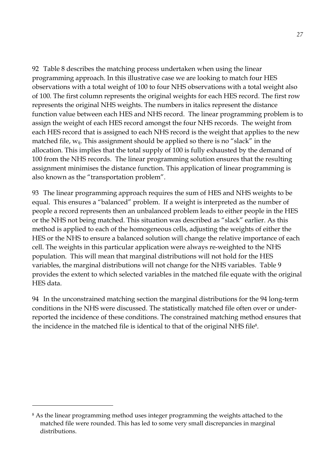92 Table 8 describes the matching process undertaken when using the linear programming approach. In this illustrative case we are looking to match four HES observations with a total weight of 100 to four NHS observations with a total weight also of 100. The first column represents the original weights for each HES record. The first row represents the original NHS weights. The numbers in italics represent the distance function value between each HES and NHS record. The linear programming problem is to assign the weight of each HES record amongst the four NHS records. The weight from each HES record that is assigned to each NHS record is the weight that applies to the new matched file,  $w_{ij}$ . This assignment should be applied so there is no "slack" in the allocation. This implies that the total supply of 100 is fully exhausted by the demand of 100 from the NHS records. The linear programming solution ensures that the resulting assignment minimises the distance function. This application of linear programming is also known as the "transportation problem".

93 The linear programming approach requires the sum of HES and NHS weights to be equal. This ensures a "balanced" problem. If a weight is interpreted as the number of people a record represents then an unbalanced problem leads to either people in the HES or the NHS not being matched. This situation was described as "slack" earlier. As this method is applied to each of the homogeneous cells, adjusting the weights of either the HES or the NHS to ensure a balanced solution will change the relative importance of each cell. The weights in this particular application were always re-weighted to the NHS population. This will mean that marginal distributions will not hold for the HES variables, the marginal distributions will not change for the NHS variables. Table 9 provides the extent to which selected variables in the matched file equate with the original HES data.

94 In the unconstrained matching section the marginal distributions for the 94 long-term conditions in the NHS were discussed. The statistically matched file often over or underreported the incidence of these conditions. The constrained matching method ensures that the incidence in the matched file is identical to that of the original NHS file8.

 $\overline{a}$ 

<sup>&</sup>lt;sup>8</sup> As the linear programming method uses integer programming the weights attached to the matched file were rounded. This has led to some very small discrepancies in marginal distributions.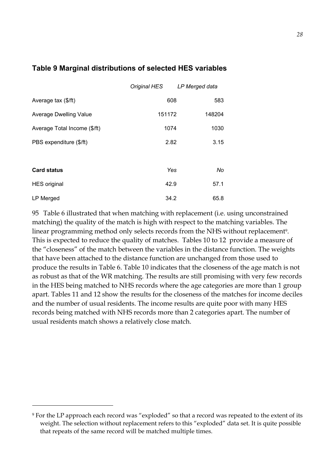### **Table 9 Marginal distributions of selected HES variables**

|                              | Original HES LP Merged data |        |
|------------------------------|-----------------------------|--------|
| Average tax (\$/ft)          | 608                         | 583    |
| Average Dwelling Value       | 151172                      | 148204 |
| Average Total Income (\$/ft) | 1074                        | 1030   |
| PBS expenditure (\$/ft)      | 2.82                        | 3.15   |
|                              |                             |        |
| <b>Card status</b>           | Yes                         | No     |
| <b>HES</b> original          | 42.9                        | 57.1   |
| LP Merged                    | 34.2                        | 65.8   |

95 Table 6 illustrated that when matching with replacement (i.e. using unconstrained matching) the quality of the match is high with respect to the matching variables. The linear programming method only selects records from the NHS without replacement<sup>9</sup>. This is expected to reduce the quality of matches. Tables 10 to 12 provide a measure of the "closeness" of the match between the variables in the distance function. The weights that have been attached to the distance function are unchanged from those used to produce the results in Table 6. Table 10 indicates that the closeness of the age match is not as robust as that of the WR matching. The results are still promising with very few records in the HES being matched to NHS records where the age categories are more than 1 group apart. Tables 11 and 12 show the results for the closeness of the matches for income deciles and the number of usual residents. The income results are quite poor with many HES records being matched with NHS records more than 2 categories apart. The number of usual residents match shows a relatively close match.

 $\overline{a}$ 

<sup>&</sup>lt;sup>9</sup> For the LP approach each record was "exploded" so that a record was repeated to the extent of its weight. The selection without replacement refers to this "exploded" data set. It is quite possible that repeats of the same record will be matched multiple times.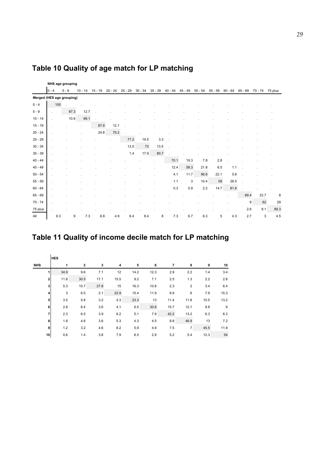|           | NHS age grouping          |         |           |           |           |           |           |           |           |           |           |           |           |           |         |         |
|-----------|---------------------------|---------|-----------|-----------|-----------|-----------|-----------|-----------|-----------|-----------|-----------|-----------|-----------|-----------|---------|---------|
|           | $0 - 4$                   | $5 - 9$ | $10 - 14$ | $15 - 19$ | $20 - 24$ | $25 - 29$ | $30 - 34$ | $35 - 39$ | $40 - 44$ | $45 - 49$ | $50 - 54$ | $55 - 59$ | $60 - 64$ | $65 - 69$ | 70 - 74 | 75 plus |
|           | Merged (HES age grouping) |         |           |           |           |           |           |           |           |           |           |           |           |           |         |         |
| $0 - 4$   | 100                       |         |           |           |           |           |           |           |           |           |           |           |           |           |         |         |
| $5 - 9$   | ÷                         | 87.3    | 12.7      |           |           |           |           |           |           |           |           |           |           |           |         |         |
| $10 - 14$ |                           | 10.9    | 89.1      |           |           |           |           |           |           |           |           |           |           |           |         |         |
| $15 - 19$ |                           |         |           | 87.9      | 12.1      |           |           |           |           |           |           |           |           |           |         |         |
| $20 - 24$ |                           |         |           | 24.8      | 75.2      |           |           |           |           |           |           |           |           |           |         |         |
| $25 - 29$ |                           |         |           |           |           | 77.2      | 19.5      | 3.3       |           |           |           |           |           |           |         |         |
| $30 - 34$ |                           |         |           |           |           | 13.5      | 73        | 13.5      |           |           |           |           |           |           |         |         |
| $35 - 39$ |                           |         |           |           |           | 1.4       | 17.9      | 80.7      |           |           |           |           |           |           |         |         |
| $40 - 44$ |                           |         |           |           |           |           |           |           | 70.1      | 19.3      | 7.8       | 2.8       |           |           |         |         |
| $45 - 49$ |                           |         |           |           |           |           |           |           | 12.4      | 58.3      | 21.8      | 6.5       | 1.1       |           |         |         |
| $50 - 54$ |                           |         |           |           |           |           |           |           | 4.1       | 11.7      | 56.6      | 22.1      | 5.6       |           |         |         |
| $55 - 59$ |                           |         |           |           |           |           |           |           | 1.1       | 3         | 10.4      | 59        | 26.5      |           |         |         |
| $60 - 64$ |                           |         |           |           |           |           |           |           | 0.3       | 0.9       | 2.2       | 14.7      | 81.8      |           |         |         |
| $65 - 69$ |                           |         |           |           |           |           |           |           |           |           |           |           |           | 69.4      | 22.7    | 8       |
| $70 - 74$ |                           |         |           |           |           |           |           |           |           |           |           |           |           | 9         | 62      | 29      |
| 75 plus   |                           |         |           |           |           |           |           |           |           |           |           |           |           | 2.6       | 8.1     | 89.3    |
| All       | 9.3                       | 9       | 7.3       | 6.8       | 4.9       | 6.4       | 8.4       | 8         | 7.3       | 6.7       | 6.3       | 5         | 4.3       | 2.7       | 3       | 4.5     |

# **Table 10 Quality of age match for LP matching**

# **Table 11 Quality of income decile match for LP matching**

|                | <b>HES</b> |                |      |      |      |      |      |                |      |      |
|----------------|------------|----------------|------|------|------|------|------|----------------|------|------|
| <b>NHS</b>     | 1          | $\overline{2}$ | 3    | 4    | 5    | 6    | 7    | 8              | 9    | 10   |
|                | 34.9       | 9.6            | 7.1  | 12   | 14.2 | 12.3 | 2.9  | 2.2            | 1.4  | 3.4  |
| 2              | 11.8       | 30.5           | 17.1 | 15.5 | 9.2  | 7.1  | 2.5  | 1.3            | 2.2  | 2.8  |
| 3 <sup>1</sup> | 5.3        | 10.7           | 27.8 | 15   | 16.3 | 10.8 | 2.3  | $\overline{2}$ | 3.4  | 6.4  |
| $\overline{4}$ | 3          | 6.5            | 2.1  | 22.9 | 15.4 | 11.9 | 8.9  | 6              | 7.9  | 15.3 |
| 5 <sup>1</sup> | 3.5        | 5.8            | 3.2  | 4.3  | 23.3 | 13   | 11.4 | 11.8           | 10.5 | 13.2 |
| 6              | 2.8        | 6.4            | 3.6  | 4.1  | 6.5  | 30.8 | 15.7 | 12.1           | 8.8  | 9    |
| 7              | 2.3        | 6.5            | 3.9  | 6.2  | 5.1  | 7.9  | 42.2 | 13.2           | 6.3  | 6.3  |
| 8              | 1.8        | 4.6            | 3.6  | 5.3  | 4.3  | 4.5  | 8.8  | 46.8           | 13   | 7.2  |
| 9              | 1.2        | 3.2            | 4.6  | 8.2  | 5.9  | 4.9  | 7.5  | $\overline{7}$ | 45.5 | 11.9 |
| 10             | 0.6        | 1.4            | 3.8  | 7.9  | 6.5  | 2.9  | 5.2  | 5.4            | 12.3 | 54   |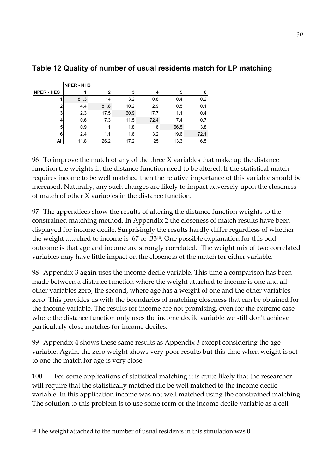|                   | <b>NPER - NHS</b> |      |      |      |      |      |
|-------------------|-------------------|------|------|------|------|------|
| <b>NPER - HES</b> | 1                 | 2    | 3    | 4    | 5    | 6    |
|                   | 81.3              | 14   | 3.2  | 0.8  | 0.4  | 0.2  |
| $\mathbf{2}$      | 4.4               | 81.8 | 10.2 | 2.9  | 0.5  | 0.1  |
| 3                 | 2.3               | 17.5 | 60.9 | 17.7 | 1.1  | 0.4  |
| 4                 | 0.6               | 7.3  | 11.5 | 72.4 | 7.4  | 0.7  |
| 5                 | 0.9               |      | 1.8  | 16   | 66.5 | 13.8 |
| 6                 | 2.4               | 1.1  | 1.6  | 3.2  | 19.6 | 72.1 |
| All               | 11.8              | 26.2 | 17.2 | 25   | 13.3 | 6.5  |

### **Table 12 Quality of number of usual residents match for LP matching**

96 To improve the match of any of the three X variables that make up the distance function the weights in the distance function need to be altered. If the statistical match requires income to be well matched then the relative importance of this variable should be increased. Naturally, any such changes are likely to impact adversely upon the closeness of match of other X variables in the distance function.

97 The appendices show the results of altering the distance function weights to the constrained matching method. In Appendix 2 the closeness of match results have been displayed for income decile. Surprisingly the results hardly differ regardless of whether the weight attached to income is .67 or .3310. One possible explanation for this odd outcome is that age and income are strongly correlated. The weight mix of two correlated variables may have little impact on the closeness of the match for either variable.

98 Appendix 3 again uses the income decile variable. This time a comparison has been made between a distance function where the weight attached to income is one and all other variables zero, the second, where age has a weight of one and the other variables zero. This provides us with the boundaries of matching closeness that can be obtained for the income variable. The results for income are not promising, even for the extreme case where the distance function only uses the income decile variable we still don't achieve particularly close matches for income deciles.

99 Appendix 4 shows these same results as Appendix 3 except considering the age variable. Again, the zero weight shows very poor results but this time when weight is set to one the match for age is very close.

100 For some applications of statistical matching it is quite likely that the researcher will require that the statistically matched file be well matched to the income decile variable. In this application income was not well matched using the constrained matching. The solution to this problem is to use some form of the income decile variable as a cell

 $\overline{a}$ 

<sup>&</sup>lt;sup>10</sup> The weight attached to the number of usual residents in this simulation was 0.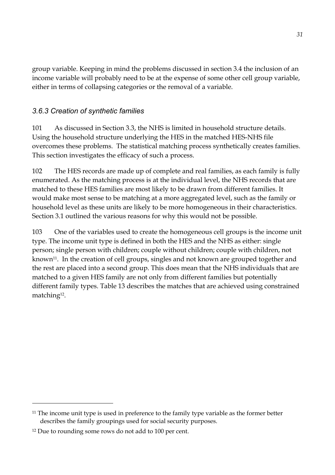group variable. Keeping in mind the problems discussed in section 3.4 the inclusion of an income variable will probably need to be at the expense of some other cell group variable, either in terms of collapsing categories or the removal of a variable.

## *3.6.3 Creation of synthetic families*

101 As discussed in Section 3.3, the NHS is limited in household structure details. Using the household structure underlying the HES in the matched HES-NHS file overcomes these problems. The statistical matching process synthetically creates families. This section investigates the efficacy of such a process.

102 The HES records are made up of complete and real families, as each family is fully enumerated. As the matching process is at the individual level, the NHS records that are matched to these HES families are most likely to be drawn from different families. It would make most sense to be matching at a more aggregated level, such as the family or household level as these units are likely to be more homogeneous in their characteristics. Section 3.1 outlined the various reasons for why this would not be possible.

103 One of the variables used to create the homogeneous cell groups is the income unit type. The income unit type is defined in both the HES and the NHS as either: single person; single person with children; couple without children; couple with children, not known<sup>11</sup>. In the creation of cell groups, singles and not known are grouped together and the rest are placed into a second group. This does mean that the NHS individuals that are matched to a given HES family are not only from different families but potentially different family types. Table 13 describes the matches that are achieved using constrained matching12.

 $\overline{a}$ 

 $11$  The income unit type is used in preference to the family type variable as the former better describes the family groupings used for social security purposes.

<sup>12</sup> Due to rounding some rows do not add to 100 per cent.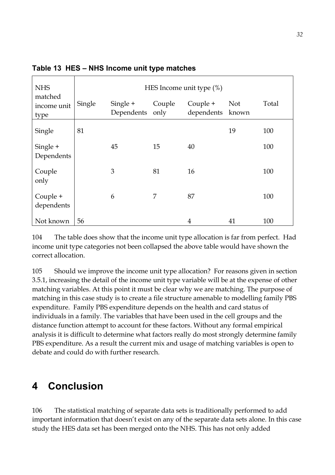| <b>NHS</b>                     | HES Income unit type $(\%)$ |                        |                |                              |            |       |  |  |  |  |  |  |  |
|--------------------------------|-----------------------------|------------------------|----------------|------------------------------|------------|-------|--|--|--|--|--|--|--|
| matched<br>income unit<br>type | Single                      | Single +<br>Dependents | Couple<br>only | Couple +<br>dependents known | <b>Not</b> | Total |  |  |  |  |  |  |  |
| Single                         | 81                          |                        |                |                              | 19         | 100   |  |  |  |  |  |  |  |
| Single +<br>Dependents         |                             | 45                     | 15             | 40                           |            | 100   |  |  |  |  |  |  |  |
| Couple<br>only                 |                             | 3                      | 81             | 16                           |            | 100   |  |  |  |  |  |  |  |
| Couple +<br>dependents         |                             | 6                      | 7              | 87                           |            | 100   |  |  |  |  |  |  |  |
| Not known                      | 56                          |                        |                | 4                            | 41         | 100   |  |  |  |  |  |  |  |

Table 13 HES - NHS Income unit type matches

104 The table does show that the income unit type allocation is far from perfect. Had income unit type categories not been collapsed the above table would have shown the correct allocation.

105 Should we improve the income unit type allocation? For reasons given in section 3.5.1, increasing the detail of the income unit type variable will be at the expense of other matching variables. At this point it must be clear why we are matching. The purpose of matching in this case study is to create a file structure amenable to modelling family PBS expenditure. Family PBS expenditure depends on the health and card status of individuals in a family. The variables that have been used in the cell groups and the distance function attempt to account for these factors. Without any formal empirical analysis it is difficult to determine what factors really do most strongly determine family PBS expenditure. As a result the current mix and usage of matching variables is open to debate and could do with further research.

# **4 Conclusion**

106 The statistical matching of separate data sets is traditionally performed to add important information that doesn't exist on any of the separate data sets alone. In this case study the HES data set has been merged onto the NHS. This has not only added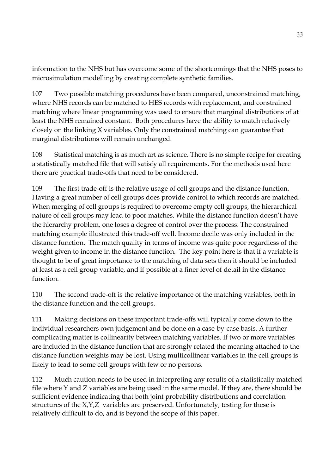information to the NHS but has overcome some of the shortcomings that the NHS poses to microsimulation modelling by creating complete synthetic families.

107 Two possible matching procedures have been compared, unconstrained matching, where NHS records can be matched to HES records with replacement, and constrained matching where linear programming was used to ensure that marginal distributions of at least the NHS remained constant. Both procedures have the ability to match relatively closely on the linking X variables. Only the constrained matching can guarantee that marginal distributions will remain unchanged.

108 Statistical matching is as much art as science. There is no simple recipe for creating a statistically matched file that will satisfy all requirements. For the methods used here there are practical trade-offs that need to be considered.

109 The first trade-off is the relative usage of cell groups and the distance function. Having a great number of cell groups does provide control to which records are matched. When merging of cell groups is required to overcome empty cell groups, the hierarchical nature of cell groups may lead to poor matches. While the distance function doesn't have the hierarchy problem, one loses a degree of control over the process. The constrained matching example illustrated this trade-off well. Income decile was only included in the distance function. The match quality in terms of income was quite poor regardless of the weight given to income in the distance function. The key point here is that if a variable is thought to be of great importance to the matching of data sets then it should be included at least as a cell group variable, and if possible at a finer level of detail in the distance function.

110 The second trade-off is the relative importance of the matching variables, both in the distance function and the cell groups.

111 Making decisions on these important trade-offs will typically come down to the individual researchers own judgement and be done on a case-by-case basis. A further complicating matter is collinearity between matching variables. If two or more variables are included in the distance function that are strongly related the meaning attached to the distance function weights may be lost. Using multicollinear variables in the cell groups is likely to lead to some cell groups with few or no persons.

112 Much caution needs to be used in interpreting any results of a statistically matched file where Y and Z variables are being used in the same model. If they are, there should be sufficient evidence indicating that both joint probability distributions and correlation structures of the X,Y,Z variables are preserved. Unfortunately, testing for these is relatively difficult to do, and is beyond the scope of this paper.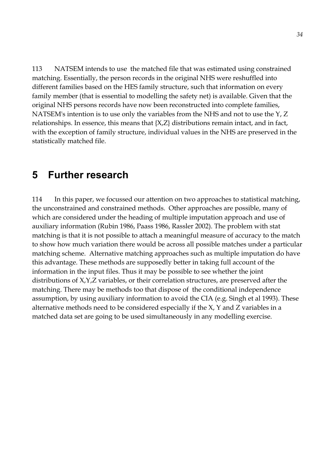113 NATSEM intends to use the matched file that was estimated using constrained matching. Essentially, the person records in the original NHS were reshuffled into different families based on the HES family structure, such that information on every family member (that is essential to modelling the safety net) is available. Given that the original NHS persons records have now been reconstructed into complete families, NATSEM's intention is to use only the variables from the NHS and not to use the Y, Z relationships. In essence, this means that {X,Z} distributions remain intact, and in fact, with the exception of family structure, individual values in the NHS are preserved in the statistically matched file.

# **5 Further research**

114 In this paper, we focussed our attention on two approaches to statistical matching, the unconstrained and constrained methods. Other approaches are possible, many of which are considered under the heading of multiple imputation approach and use of auxiliary information (Rubin 1986, Paass 1986, Rassler 2002). The problem with stat matching is that it is not possible to attach a meaningful measure of accuracy to the match to show how much variation there would be across all possible matches under a particular matching scheme. Alternative matching approaches such as multiple imputation do have this advantage. These methods are supposedly better in taking full account of the information in the input files. Thus it may be possible to see whether the joint distributions of X,Y,Z variables, or their correlation structures, are preserved after the matching. There may be methods too that dispose of the conditional independence assumption, by using auxiliary information to avoid the CIA (e.g. Singh et al 1993). These alternative methods need to be considered especially if the X, Y and Z variables in a matched data set are going to be used simultaneously in any modelling exercise.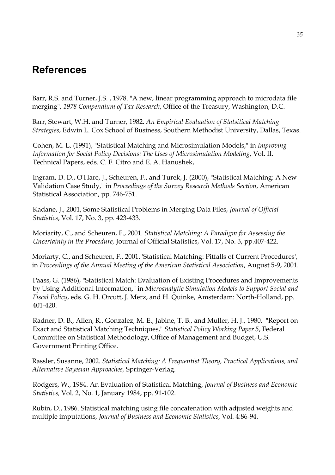# **References**

Barr, R.S. and Turner, J.S. , 1978. "A new, linear programming approach to microdata file merging", *1978 Compendium of Tax Research*, Office of the Treasury, Washington, D.C.

Barr, Stewart, W.H. and Turner, 1982. *An Empirical Evaluation of Statsitical Matching Strategies*, Edwin L. Cox School of Business, Southern Methodist University, Dallas, Texas.

Cohen, M. L. (1991), "Statistical Matching and Microsimulation Models," in *Improving Information for Social Policy Decisions: The Uses of Microsimulation Modeling*, Vol. II. Technical Papers, eds. C. F. Citro and E. A. Hanushek,

Ingram, D. D., O'Hare, J., Scheuren, F., and Turek, J. (2000), "Statistical Matching: A New Validation Case Study," in *Proceedings of the Survey Research Methods Section*, American Statistical Association, pp. 746-751.

Kadane, J., 2001, Some Statistical Problems in Merging Data Files, *Journal of Official Statistics*, Vol. 17, No. 3, pp. 423-433.

Moriarity, C., and Scheuren, F., 2001. *Statistical Matching: A Paradigm for Assessing the Uncertainty in the Procedure,* Journal of Official Statistics, Vol. 17, No. 3, pp.407-422.

Moriarty, C., and Scheuren, F., 2001. 'Statistical Matching: Pitfalls of Current Procedures', in *Proceedings of the Annual Meeting of the American Statistical Association*, August 5-9, 2001.

Paass, G. (1986), "Statistical Match: Evaluation of Existing Procedures and Improvements by Using Additional Information," in *Microanalytic Simulation Models to Support Social and Fiscal Policy*, eds. G. H. Orcutt, J. Merz, and H. Quinke, Amsterdam: North-Holland, pp. 401-420.

Radner, D. B., Allen, R., Gonzalez, M. E., Jabine, T. B., and Muller, H. J., 1980. "Report on Exact and Statistical Matching Techniques," *Statistical Policy Working Paper 5*, Federal Committee on Statistical Methodology, Office of Management and Budget, U.S. Government Printing Office.

Rassler, Susanne, 2002. *Statistical Matching: A Frequentist Theory, Practical Applications, and Alternative Bayesian Approaches,* Springer-Verlag.

Rodgers, W., 1984. An Evaluation of Statistical Matching, *Journal of Business and Economic Statistics,* Vol. 2, No. 1, January 1984, pp. 91-102.

Rubin, D., 1986. Statistical matching using file concatenation with adjusted weights and multiple imputations, *Journal of Business and Economic Statistics*, Vol. 4:86-94.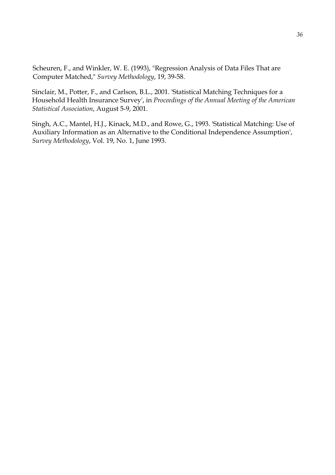Scheuren, F., and Winkler, W. E. (1993), "Regression Analysis of Data Files That are Computer Matched," *Survey Methodology*, 19, 39-58.

Sinclair, M., Potter, F., and Carlson, B.L., 2001. 'Statistical Matching Techniques for a Household Health Insurance Survey', in *Proceedings of the Annual Meeting of the American Statistical Association*, August 5-9, 2001.

Singh, A.C., Mantel, H.J., Kinack, M.D., and Rowe, G., 1993. 'Statistical Matching: Use of Auxiliary Information as an Alternative to the Conditional Independence Assumption', *Survey Methodology*, Vol. 19, No. 1, June 1993.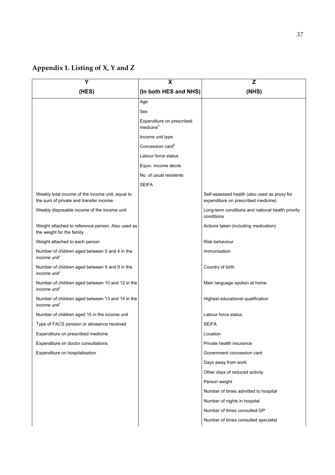# **Appendix 1. Listing of X, Y and Z**

|                                                                                             | X                                                  | Z                                                                                   |
|---------------------------------------------------------------------------------------------|----------------------------------------------------|-------------------------------------------------------------------------------------|
| (HES)                                                                                       | (In both HES and NHS)                              | (NHS)                                                                               |
|                                                                                             | Age                                                |                                                                                     |
|                                                                                             | Sex                                                |                                                                                     |
|                                                                                             | Expenditure on prescribed<br>medicine <sup>a</sup> |                                                                                     |
|                                                                                             | Income unit type                                   |                                                                                     |
|                                                                                             | Concession card <sup>b</sup>                       |                                                                                     |
|                                                                                             | Labour force status                                |                                                                                     |
|                                                                                             | Equiv. income decile                               |                                                                                     |
|                                                                                             | No. of usual residents                             |                                                                                     |
|                                                                                             | <b>SEIFA</b>                                       |                                                                                     |
| Weekly total income of the income unit, equal to<br>the sum of private and transfer income. |                                                    | Self-assessed health (also used as proxy for<br>expenditure on prescribed medicine) |
| Weekly disposable income of the income unit                                                 |                                                    | Long-term conditions and national health priority<br>conditions                     |
| Weight attached to reference person. Also used as<br>the weight for the family              |                                                    | Actions taken (including medication)                                                |
| Weight attached to each person                                                              |                                                    | Risk behaviour                                                                      |
| Number of children aged between 0 and 4 in the<br>income unit <sup>c</sup>                  |                                                    | Immunisation                                                                        |
| Number of children aged between 5 and 9 in the<br>income unit <sup>c</sup>                  |                                                    | Country of birth                                                                    |
| Number of children aged between 10 and 12 in the<br>income unit <sup>c</sup>                |                                                    | Main language spoken at home                                                        |
| Number of children aged between 13 and 14 in the<br>income unit <sup>c</sup>                |                                                    | Highest educational qualification                                                   |
| Number of children aged 15 in the income unit                                               |                                                    | Labour force status                                                                 |
| Type of FACS pension or allowance received                                                  |                                                    | <b>SEIFA</b>                                                                        |
| Expenditure on prescribed medicine                                                          |                                                    | Location                                                                            |
| Expenditure on doctor consultations                                                         |                                                    | Private health insurance                                                            |
| Expenditure on hospitalisation                                                              |                                                    | Government concession card                                                          |
|                                                                                             |                                                    | Days away from work                                                                 |
|                                                                                             |                                                    | Other days of reduced activity                                                      |
|                                                                                             |                                                    | Person weight                                                                       |
|                                                                                             |                                                    | Number of times admitted to hospital                                                |
|                                                                                             |                                                    | Number of nights in hospital                                                        |
|                                                                                             |                                                    | Number of times consulted GP                                                        |
|                                                                                             |                                                    | Number of times consulted specialist                                                |
|                                                                                             |                                                    |                                                                                     |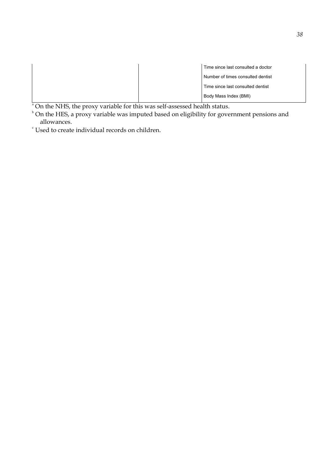| Time since last consulted a doctor |
|------------------------------------|
| Number of times consulted dentist  |
| Time since last consulted dentist  |
| Body Mass Index (BMI)              |

 $\alpha^*$  On the NHS, the proxy variable for this was self-assessed health status.<br> $\beta^*$  On the HES, a proxy variable was imputed based on eligibility for government pensions and allowances.

c Used to create individual records on children.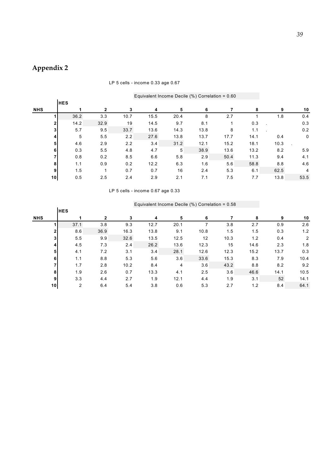# **Appendix 2**

#### LP 5 cells - income 0.33 age 0.67

| Equivalent Income Decile $(\%)$ Correlation = 0.60 |  |
|----------------------------------------------------|--|
|----------------------------------------------------|--|

|            |                 |      |                |      |      |      | $=$ generate integrate $=$ $=$ $\frac{1}{2}$ (i.e.) $=$ $\frac{1}{2}$ $\frac{1}{2}$ |      |      |      |      |
|------------|-----------------|------|----------------|------|------|------|-------------------------------------------------------------------------------------|------|------|------|------|
|            | <b>HES</b>      |      |                |      |      |      |                                                                                     |      |      |      |      |
| <b>NHS</b> |                 |      | $\overline{2}$ | 3    | 4    | 5    | 6                                                                                   |      | 8    | 9    | 10   |
|            |                 | 36.2 | 3.3            | 10.7 | 15.5 | 20.4 | 8                                                                                   | 2.7  |      | 1.8  | 0.4  |
|            | $\mathbf{2}$    | 14.2 | 32.9           | 19   | 14.5 | 9.7  | 8.1                                                                                 |      | 0.3  |      | 0.3  |
|            | 3               | 5.7  | 9.5            | 33.7 | 13.6 | 14.3 | 13.8                                                                                | 8    | 1.1  |      | 0.2  |
|            | 4               | 5    | 5.5            | 2.2  | 27.6 | 13.8 | 13.7                                                                                | 17.7 | 14.1 | 0.4  | 0    |
|            | 5               | 4.6  | 2.9            | 2.2  | 3.4  | 31.2 | 12.1                                                                                | 15.2 | 18.1 | 10.3 |      |
|            | 6               | 0.3  | 5.5            | 4.8  | 4.7  | 5    | 38.9                                                                                | 13.6 | 13.2 | 8.2  | 5.9  |
|            |                 | 0.8  | 0.2            | 8.5  | 6.6  | 5.8  | 2.9                                                                                 | 50.4 | 11.3 | 9.4  | 4.1  |
|            | 8               | 1.1  | 0.9            | 0.2  | 12.2 | 6.3  | 1.6                                                                                 | 5.6  | 58.8 | 8.8  | 4.6  |
|            | 9 <sub>l</sub>  | 1.5  |                | 0.7  | 0.7  | 16   | 2.4                                                                                 | 5.3  | 6.1  | 62.5 | 4    |
|            | 10 <sub>l</sub> | 0.5  | 2.5            | 2.4  | 2.9  | 2.1  | 7.1                                                                                 | 7.5  | 7.7  | 13.8 | 53.5 |
|            |                 |      |                |      |      |      |                                                                                     |      |      |      |      |

LP 5 cells - income 0.67 age 0.33

| <b>HES</b>           |      |      |      |      |      |      |      |                                                |      |
|----------------------|------|------|------|------|------|------|------|------------------------------------------------|------|
|                      | 2    | 3    | 4    | 5    | 6    |      | 8    | 9                                              | 10   |
| 37.1                 | 3.8  | 9.3  | 12.7 | 20.1 |      | 3.8  | 2.7  | 0.9                                            | 2.6  |
| 8.6                  | 36.9 | 16.3 | 13.8 | 9.1  | 10.8 | 1.5  | 1.5  | 0.3                                            | 1.2  |
| 5.5<br>3             | 9.9  | 32.6 | 13.5 | 12.5 | 12   | 10.3 | 1.2  | 0.4                                            | 2    |
| 4.5<br>4,            | 7.3  | 2.4  | 26.2 | 13.6 | 12.3 | 15   | 14.6 | 2.3                                            | 1.8  |
| 4.1<br>5             | 7.2  | 3.1  | 3.4  | 28.1 | 12.6 | 12.3 | 15.2 | 13.7                                           | 0.3  |
| 1.1<br>6             | 8.8  | 5.3  | 5.6  | 3.6  | 33.6 | 15.3 | 8.3  | 7.9                                            | 10.4 |
| 1.7                  | 2.8  | 10.2 | 8.4  | 4    | 3.6  | 43.2 | 8.8  | 8.2                                            | 9.2  |
| 1.9<br>8             |      | 0.7  | 13.3 | 4.1  | 2.5  | 3.6  | 46.6 | 14.1                                           | 10.5 |
| 9<br>3.3             | 4.4  | 2.7  | 1.9  | 12.1 | 4.4  | 1.9  | 3.1  | 52                                             | 14.1 |
| 2<br>10 <sub>l</sub> | 6.4  | 5.4  | 3.8  | 0.6  | 5.3  | 2.7  | 1.2  | 8.4                                            | 64.1 |
|                      |      |      | 2.6  |      |      |      |      | Equivalent moonite Deeme (70) Obtrelation 0.00 |      |

#### Equivalent Income Decile (%) Correlation = 0.58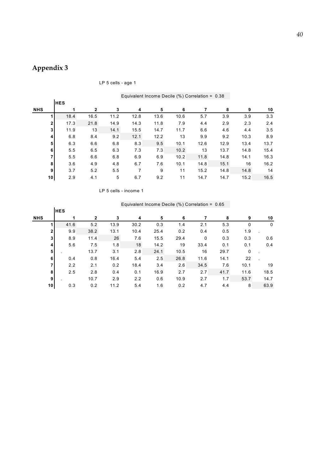# **Appendix 3**

| LP 5 cells - age 1 |                                                    |
|--------------------|----------------------------------------------------|
|                    |                                                    |
|                    | Equivalent Income Decile $(\%)$ Correlation = 0.38 |

|                 |            |                | Equivalent income Decile $(\%)$ Correlation = $0.38$ |      |      |      |      |      |      |      |
|-----------------|------------|----------------|------------------------------------------------------|------|------|------|------|------|------|------|
|                 | <b>HES</b> |                |                                                      |      |      |      |      |      |      |      |
| <b>NHS</b>      |            | $\overline{2}$ | 3                                                    | 4    | 5    | 6    |      | 8    | 9    | 10   |
|                 | 18.4       | 16.5           | 11.2                                                 | 12.8 | 13.6 | 10.6 | 5.7  | 3.9  | 3.9  | 3.3  |
| $\mathbf{2}$    | 17.3       | 21.8           | 14.9                                                 | 14.3 | 11.8 | 7.9  | 4.4  | 2.9  | 2.3  | 2.4  |
| 3 <sub>l</sub>  | 11.9       | 13             | 14.1                                                 | 15.5 | 14.7 | 11.7 | 6.6  | 4.6  | 4.4  | 3.5  |
| $\vert$         | 6.8        | 8.4            | 9.2                                                  | 12.1 | 12.2 | 13   | 9.9  | 9.2  | 10.3 | 8.9  |
| 5 <sub>1</sub>  | 6.3        | 6.6            | 6.8                                                  | 8.3  | 9.5  | 10.1 | 12.6 | 12.9 | 13.4 | 13.7 |
| 6 <sup>1</sup>  | 5.5        | 6.5            | 6.3                                                  | 7.3  | 7.3  | 10.2 | 13   | 13.7 | 14.8 | 15.4 |
| 7               | 5.5        | 6.6            | 6.8                                                  | 6.9  | 6.9  | 10.2 | 11.8 | 14.8 | 14.1 | 16.3 |
| 8               | 3.6        | 4.9            | 4.8                                                  | 6.7  | 7.6  | 10.1 | 14.8 | 15.1 | 16   | 16.2 |
| 9               | 3.7        | 5.2            | 5.5                                                  | 7    | 9    | 11   | 15.2 | 14.8 | 14.8 | 14   |
| 10 <sup>1</sup> | 2.9        | 4.1            | 5                                                    | 6.7  | 9.2  | 11   | 14.7 | 14.7 | 15.2 | 16.5 |

LP 5 cells - income 1

|                 | <b>HES</b>            |              |      |      |      |      |      |      |      |      |
|-----------------|-----------------------|--------------|------|------|------|------|------|------|------|------|
| <b>NHS</b>      |                       | $\mathbf{2}$ | 3    | 4    | 5    | 6    |      | 8    | 9    | 10   |
|                 | 41.6                  | 5.2          | 13.9 | 30.2 | 0.3  | 1.4  | 2.1  | 5.3  | 0    | 0    |
|                 | 9.9<br>$\overline{2}$ | 38.2         | 13.1 | 10.4 | 25.4 | 0.2  | 0.4  | 0.5  | 1.9  |      |
|                 | 3 <br>8.9             | 11.4         | 26   | 7.6  | 15.5 | 29.4 | 0    | 0.3  | 0.3  | 0.6  |
|                 | 5.6<br>$\vert$        | 7.5          | 1.8  | 18   | 14.2 | 19   | 33.4 | 0.1  | 0.1  | 0.4  |
|                 | 5 <sub>1</sub>        | 13.7         | 3.1  | 2.8  | 24.1 | 10.5 | 16   | 29.7 | 0    |      |
|                 | 6<br>0.4              | 0.8          | 16.4 | 5.4  | 2.5  | 26.8 | 11.6 | 14.1 | 22   |      |
|                 | 7<br>2.2              | 2.1          | 0.2  | 18.4 | 3.4  | 2.6  | 34.5 | 7.6  | 10.1 | 19   |
|                 | 2.5<br>8 <sub>l</sub> | 2.8          | 0.4  | 0.1  | 16.9 | 2.7  | 2.7  | 41.7 | 11.6 | 18.5 |
|                 | 9                     | 10.7         | 2.9  | 2.2  | 0.6  | 10.9 | 2.7  | 1.7  | 53.7 | 14.7 |
| 10 <sup>1</sup> | 0.3                   | 0.2          | 11.2 | 5.4  | 1.6  | 0.2  | 4.7  | 4.4  | 8    | 63.9 |

### Equivalent Income Decile (%) Correlation = 0.65